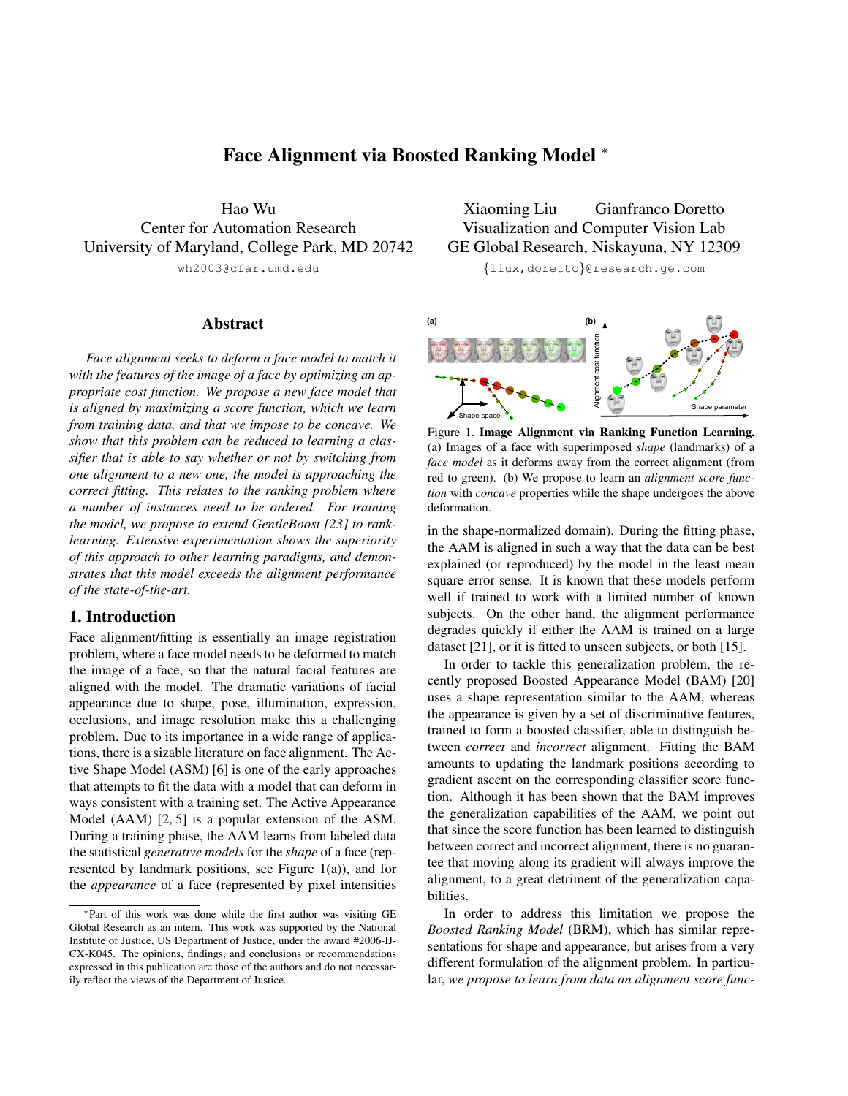# Face Alignment via Boosted Ranking Model <sup>∗</sup>

Hao Wu Center for Automation Research University of Maryland, College Park, MD 20742 wh2003@cfar.umd.edu

# Abstract

*Face alignment seeks to deform a face model to match it with the features of the image of a face by optimizing an appropriate cost function. We propose a new face model that is aligned by maximizing a score function, which we learn from training data, and that we impose to be concave. We show that this problem can be reduced to learning a classifier that is able to say whether or not by switching from one alignment to a new one, the model is approaching the correct fitting. This relates to the ranking problem where a number of instances need to be ordered. For training the model, we propose to extend GentleBoost [23] to ranklearning. Extensive experimentation shows the superiority of this approach to other learning paradigms, and demonstrates that this model exceeds the alignment performance of the state-of-the-art.*

# 1. Introduction

Face alignment/fitting is essentially an image registration problem, where a face model needs to be deformed to match the image of a face, so that the natural facial features are aligned with the model. The dramatic variations of facial appearance due to shape, pose, illumination, expression, occlusions, and image resolution make this a challenging problem. Due to its importance in a wide range of applications, there is a sizable literature on face alignment. The Active Shape Model (ASM) [6] is one of the early approaches that attempts to fit the data with a model that can deform in ways consistent with a training set. The Active Appearance Model (AAM) [2, 5] is a popular extension of the ASM. During a training phase, the AAM learns from labeled data the statistical *generative models* for the *shape* of a face (represented by landmark positions, see Figure 1(a)), and for the *appearance* of a face (represented by pixel intensities

Xiaoming Liu Gianfranco Doretto Visualization and Computer Vision Lab GE Global Research, Niskayuna, NY 12309

{liux,doretto}@research.ge.com



Figure 1. Image Alignment via Ranking Function Learning. (a) Images of a face with superimposed *shape* (landmarks) of a *face model* as it deforms away from the correct alignment (from red to green). (b) We propose to learn an *alignment score function* with *concave* properties while the shape undergoes the above deformation.

in the shape-normalized domain). During the fitting phase, the AAM is aligned in such a way that the data can be best explained (or reproduced) by the model in the least mean square error sense. It is known that these models perform well if trained to work with a limited number of known subjects. On the other hand, the alignment performance degrades quickly if either the AAM is trained on a large dataset [21], or it is fitted to unseen subjects, or both [15].

In order to tackle this generalization problem, the recently proposed Boosted Appearance Model (BAM) [20] uses a shape representation similar to the AAM, whereas the appearance is given by a set of discriminative features, trained to form a boosted classifier, able to distinguish between *correct* and *incorrect* alignment. Fitting the BAM amounts to updating the landmark positions according to gradient ascent on the corresponding classifier score function. Although it has been shown that the BAM improves the generalization capabilities of the AAM, we point out that since the score function has been learned to distinguish between correct and incorrect alignment, there is no guarantee that moving along its gradient will always improve the alignment, to a great detriment of the generalization capabilities.

In order to address this limitation we propose the *Boosted Ranking Model* (BRM), which has similar representations for shape and appearance, but arises from a very different formulation of the alignment problem. In particular, *we propose to learn from data an alignment score func-*

<sup>∗</sup>Part of this work was done while the first author was visiting GE Global Research as an intern. This work was supported by the National Institute of Justice, US Department of Justice, under the award #2006-IJ-CX-K045. The opinions, findings, and conclusions or recommendations expressed in this publication are those of the authors and do not necessarily reflect the views of the Department of Justice.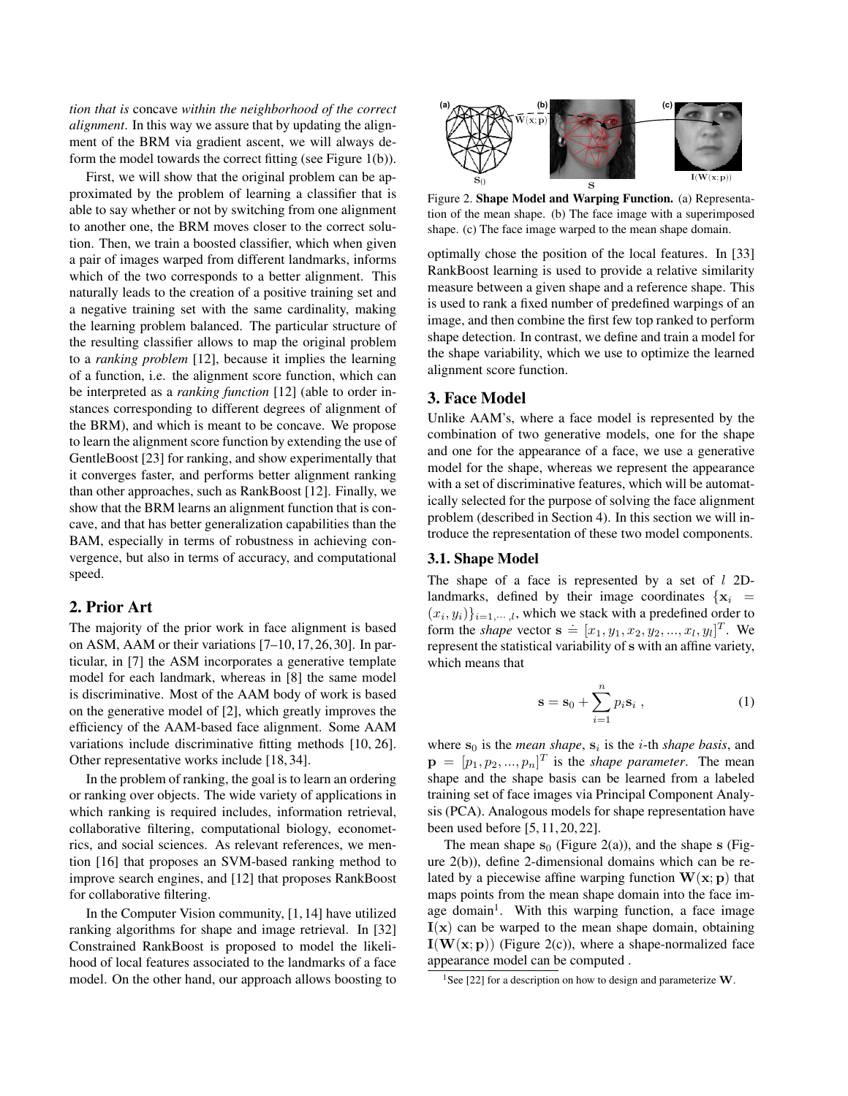*tion that is* concave *within the neighborhood of the correct alignment*. In this way we assure that by updating the alignment of the BRM via gradient ascent, we will always deform the model towards the correct fitting (see Figure 1(b)).

First, we will show that the original problem can be approximated by the problem of learning a classifier that is able to say whether or not by switching from one alignment to another one, the BRM moves closer to the correct solution. Then, we train a boosted classifier, which when given a pair of images warped from different landmarks, informs which of the two corresponds to a better alignment. This naturally leads to the creation of a positive training set and a negative training set with the same cardinality, making the learning problem balanced. The particular structure of the resulting classifier allows to map the original problem to a *ranking problem* [12], because it implies the learning of a function, i.e. the alignment score function, which can be interpreted as a *ranking function* [12] (able to order instances corresponding to different degrees of alignment of the BRM), and which is meant to be concave. We propose to learn the alignment score function by extending the use of GentleBoost [23] for ranking, and show experimentally that it converges faster, and performs better alignment ranking than other approaches, such as RankBoost [12]. Finally, we show that the BRM learns an alignment function that is concave, and that has better generalization capabilities than the BAM, especially in terms of robustness in achieving convergence, but also in terms of accuracy, and computational speed.

# 2. Prior Art

The majority of the prior work in face alignment is based on ASM, AAM or their variations [7–10, 17, 26, 30]. In particular, in [7] the ASM incorporates a generative template model for each landmark, whereas in [8] the same model is discriminative. Most of the AAM body of work is based on the generative model of [2], which greatly improves the efficiency of the AAM-based face alignment. Some AAM variations include discriminative fitting methods [10, 26]. Other representative works include [18, 34].

In the problem of ranking, the goal is to learn an ordering or ranking over objects. The wide variety of applications in which ranking is required includes, information retrieval, collaborative filtering, computational biology, econometrics, and social sciences. As relevant references, we mention [16] that proposes an SVM-based ranking method to improve search engines, and [12] that proposes RankBoost for collaborative filtering.

In the Computer Vision community, [1, 14] have utilized ranking algorithms for shape and image retrieval. In [32] Constrained RankBoost is proposed to model the likelihood of local features associated to the landmarks of a face model. On the other hand, our approach allows boosting to



Figure 2. Shape Model and Warping Function. (a) Representation of the mean shape. (b) The face image with a superimposed shape. (c) The face image warped to the mean shape domain.

optimally chose the position of the local features. In [33] RankBoost learning is used to provide a relative similarity measure between a given shape and a reference shape. This is used to rank a fixed number of predefined warpings of an image, and then combine the first few top ranked to perform shape detection. In contrast, we define and train a model for the shape variability, which we use to optimize the learned alignment score function.

# 3. Face Model

Unlike AAM's, where a face model is represented by the combination of two generative models, one for the shape and one for the appearance of a face, we use a generative model for the shape, whereas we represent the appearance with a set of discriminative features, which will be automatically selected for the purpose of solving the face alignment problem (described in Section 4). In this section we will introduce the representation of these two model components.

#### 3.1. Shape Model

The shape of a face is represented by a set of  $l$  2Dlandmarks, defined by their image coordinates  $\{x_i =$  $(x_i, y_i)\}_{i=1,\dots,l}$ , which we stack with a predefined order to form the *shape* vector  $\mathbf{s} = [x_1, y_1, x_2, y_2, ..., x_l, y_l]^T$ . We represent the statistical variability of s with an affine variety, which means that

$$
\mathbf{s} = \mathbf{s}_0 + \sum_{i=1}^n p_i \mathbf{s}_i , \qquad (1)
$$

where  $s_0$  is the *mean shape*,  $s_i$  is the *i*-th *shape basis*, and  $\mathbf{p} = [p_1, p_2, ..., p_n]^T$  is the *shape parameter*. The mean shape and the shape basis can be learned from a labeled training set of face images via Principal Component Analysis (PCA). Analogous models for shape representation have been used before [5, 11, 20, 22].

The mean shape  $s_0$  (Figure 2(a)), and the shape s (Figure 2(b)), define 2-dimensional domains which can be related by a piecewise affine warping function  $W(x; p)$  that maps points from the mean shape domain into the face image domain<sup>1</sup>. With this warping function, a face image  $I(x)$  can be warped to the mean shape domain, obtaining  $I(W(x; p))$  (Figure 2(c)), where a shape-normalized face appearance model can be computed .

<sup>&</sup>lt;sup>1</sup>See [22] for a description on how to design and parameterize  $W$ .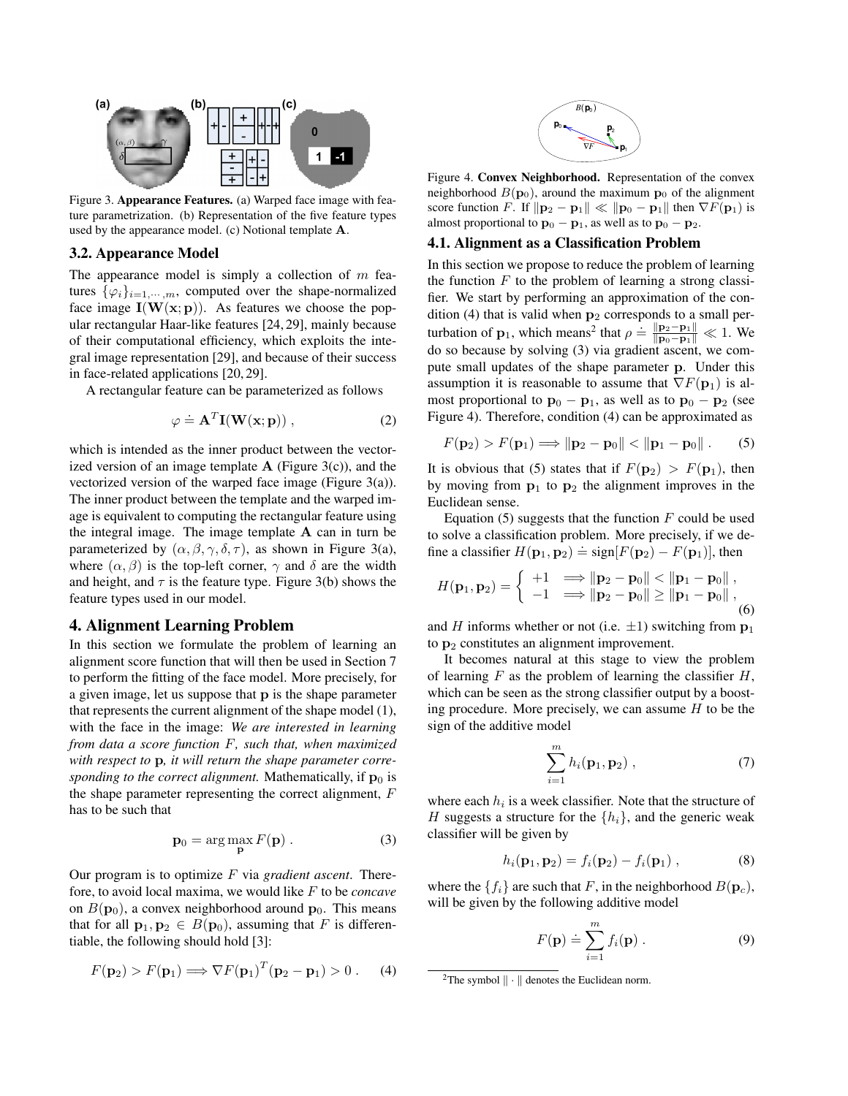

Figure 3. Appearance Features. (a) Warped face image with feature parametrization. (b) Representation of the five feature types used by the appearance model. (c) Notional template A.

## 3.2. Appearance Model

The appearance model is simply a collection of  $m$  features  $\{\varphi_i\}_{i=1,\dots,m}$ , computed over the shape-normalized face image  $I(W(x; p))$ . As features we choose the popular rectangular Haar-like features [24, 29], mainly because of their computational efficiency, which exploits the integral image representation [29], and because of their success in face-related applications [20, 29].

A rectangular feature can be parameterized as follows

$$
\varphi \doteq \mathbf{A}^T \mathbf{I}(\mathbf{W}(\mathbf{x}; \mathbf{p}))\,,\tag{2}
$$

which is intended as the inner product between the vectorized version of an image template  $A$  (Figure 3(c)), and the vectorized version of the warped face image (Figure 3(a)). The inner product between the template and the warped image is equivalent to computing the rectangular feature using the integral image. The image template  $A$  can in turn be parameterized by  $(\alpha, \beta, \gamma, \delta, \tau)$ , as shown in Figure 3(a), where  $(\alpha, \beta)$  is the top-left corner,  $\gamma$  and  $\delta$  are the width and height, and  $\tau$  is the feature type. Figure 3(b) shows the feature types used in our model.

# 4. Alignment Learning Problem

In this section we formulate the problem of learning an alignment score function that will then be used in Section 7 to perform the fitting of the face model. More precisely, for a given image, let us suppose that p is the shape parameter that represents the current alignment of the shape model (1), with the face in the image: *We are interested in learning from data a score function* F*, such that, when maximized with respect to* p*, it will return the shape parameter corresponding to the correct alignment.* Mathematically, if  $\mathbf{p}_0$  is the shape parameter representing the correct alignment, F has to be such that

$$
\mathbf{p}_0 = \arg\max_{\mathbf{p}} F(\mathbf{p}) . \tag{3}
$$

Our program is to optimize F via *gradient ascent*. Therefore, to avoid local maxima, we would like F to be *concave* on  $B(\mathbf{p}_0)$ , a convex neighborhood around  $\mathbf{p}_0$ . This means that for all  $\mathbf{p}_1, \mathbf{p}_2 \in B(\mathbf{p}_0)$ , assuming that F is differentiable, the following should hold [3]:

$$
F(\mathbf{p}_2) > F(\mathbf{p}_1) \Longrightarrow \nabla F(\mathbf{p}_1)^T(\mathbf{p}_2 - \mathbf{p}_1) > 0.
$$
 (4)



Figure 4. Convex Neighborhood. Representation of the convex neighborhood  $B(\mathbf{p}_0)$ , around the maximum  $\mathbf{p}_0$  of the alignment score function F. If  $\|\mathbf{p}_2 - \mathbf{p}_1\| \ll \|\mathbf{p}_0 - \mathbf{p}_1\|$  then  $\nabla F(\mathbf{p}_1)$  is almost proportional to  $\mathbf{p}_0 - \mathbf{p}_1$ , as well as to  $\mathbf{p}_0 - \mathbf{p}_2$ .

### 4.1. Alignment as a Classification Problem

In this section we propose to reduce the problem of learning the function  $F$  to the problem of learning a strong classifier. We start by performing an approximation of the condition (4) that is valid when  $p_2$  corresponds to a small perturbation of p<sub>1</sub>, which means<sup>2</sup> that  $\rho = \frac{|\mathbf{p}_2 - \mathbf{p}_1|}{|\mathbf{p}_0 - \mathbf{p}_1|} \ll 1$ . We do so because by solving (3) via gradient ascent, we compute small updates of the shape parameter p. Under this assumption it is reasonable to assume that  $\nabla F(\mathbf{p}_1)$  is almost proportional to  $\mathbf{p}_0 - \mathbf{p}_1$ , as well as to  $\mathbf{p}_0 - \mathbf{p}_2$  (see Figure 4). Therefore, condition (4) can be approximated as

$$
F(\mathbf{p}_2) > F(\mathbf{p}_1) \Longrightarrow \|\mathbf{p}_2 - \mathbf{p}_0\| < \|\mathbf{p}_1 - \mathbf{p}_0\| \,.
$$

It is obvious that (5) states that if  $F(\mathbf{p}_2) > F(\mathbf{p}_1)$ , then by moving from  $p_1$  to  $p_2$  the alignment improves in the Euclidean sense.

Equation (5) suggests that the function  $F$  could be used to solve a classification problem. More precisely, if we deto solve a classification problem: there precisely, if we also solve a classifier  $H(\mathbf{p}_1, \mathbf{p}_2) \doteq \text{sign}[F(\mathbf{p}_2) - F(\mathbf{p}_1)]$ , then

$$
H(\mathbf{p}_1, \mathbf{p}_2) = \begin{cases} +1 & \implies ||\mathbf{p}_2 - \mathbf{p}_0|| < ||\mathbf{p}_1 - \mathbf{p}_0||, \\ -1 & \implies ||\mathbf{p}_2 - \mathbf{p}_0|| \ge ||\mathbf{p}_1 - \mathbf{p}_0||, \end{cases}
$$
(6)

and H informs whether or not (i.e.  $\pm 1$ ) switching from  $p_1$ to  $p_2$  constitutes an alignment improvement.

It becomes natural at this stage to view the problem of learning  $F$  as the problem of learning the classifier  $H$ , which can be seen as the strong classifier output by a boosting procedure. More precisely, we can assume  $H$  to be the sign of the additive model

$$
\sum_{i=1}^{m} h_i(\mathbf{p}_1, \mathbf{p}_2), \qquad (7)
$$

where each  $h_i$  is a week classifier. Note that the structure of H suggests a structure for the  $\{h_i\}$ , and the generic weak classifier will be given by

$$
h_i(\mathbf{p}_1, \mathbf{p}_2) = f_i(\mathbf{p}_2) - f_i(\mathbf{p}_1) , \qquad (8)
$$

where the  ${f_i}$  are such that F, in the neighborhood  $B(\mathbf{p}_c)$ , will be given by the following additive model

$$
F(\mathbf{p}) \doteq \sum_{i=1}^{m} f_i(\mathbf{p}) . \tag{9}
$$

<sup>&</sup>lt;sup>2</sup>The symbol  $\|\cdot\|$  denotes the Euclidean norm.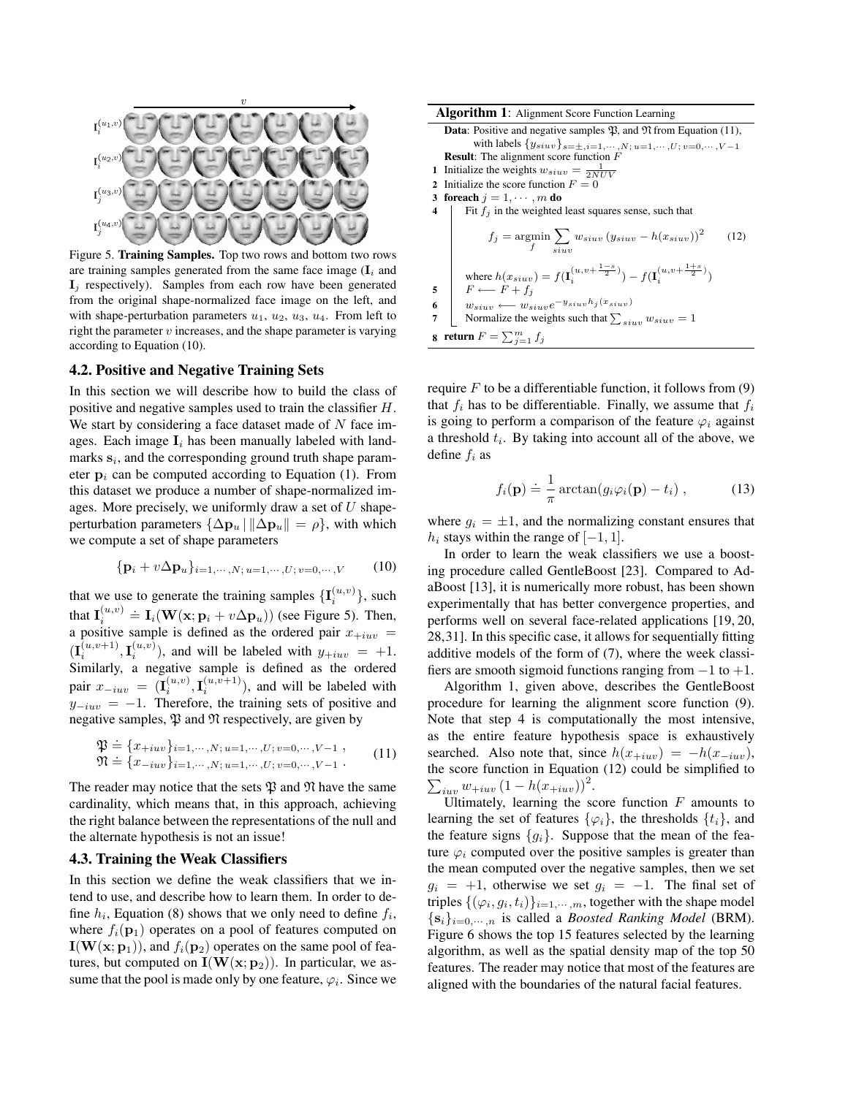

Figure 5. Training Samples. Top two rows and bottom two rows are training samples generated from the same face image  $(I_i$  and  $\mathbf{I}_i$  respectively). Samples from each row have been generated from the original shape-normalized face image on the left, and with shape-perturbation parameters  $u_1, u_2, u_3, u_4$ . From left to right the parameter  $v$  increases, and the shape parameter is varying according to Equation (10).

#### 4.2. Positive and Negative Training Sets

In this section we will describe how to build the class of positive and negative samples used to train the classifier H. We start by considering a face dataset made of  $N$  face images. Each image  $I_i$  has been manually labeled with landmarks  $s_i$ , and the corresponding ground truth shape parameter  $p_i$  can be computed according to Equation (1). From this dataset we produce a number of shape-normalized images. More precisely, we uniformly draw a set of  $U$  shapeperturbation parameters  $\{\Delta \mathbf{p}_u \mid ||\Delta \mathbf{p}_u|| = \rho\}$ , with which we compute a set of shape parameters

$$
\{ \mathbf{p}_i + v \Delta \mathbf{p}_u \}_{i=1,\cdots,N; u=1,\cdots,U; v=0,\cdots,V} \qquad (10)
$$

that we use to generate the training samples  $\{\mathbf{I}_i^{(u,v)}\}$ , such that  $\mathbf{I}_i^{(u,v)} \doteq \mathbf{I}_i(\mathbf{W}(\mathbf{x}; \mathbf{p}_i + v\Delta \mathbf{p}_u))$  (see Figure 5). Then, a positive sample is defined as the ordered pair  $x_{+iuv}$  =  $(\mathbf{I}_{i}^{(u,v+1)}, \mathbf{I}_{i}^{(u,v)})$ , and will be labeled with  $y_{+iuv} = +1$ . Similarly, a negative sample is defined as the ordered pair  $x_{-iuv} = (\mathbf{I}_i^{(u,v)}, \mathbf{I}_i^{(u,v+1)})$ , and will be labeled with  $y_{-iuv} = -1$ . Therefore, the training sets of positive and negative samples,  $\mathfrak P$  and  $\mathfrak N$  respectively, are given by

$$
\mathfrak{P} = \{x_{+iuv}\}_{i=1,\cdots,N;\ u=1,\cdots,U;\ v=0,\cdots,V-1\},
$$
  

$$
\mathfrak{N} = \{x_{-iuv}\}_{i=1,\cdots,N;\ u=1,\cdots,U;\ v=0,\cdots,V-1\}.
$$
 (11)

The reader may notice that the sets  $\mathfrak P$  and  $\mathfrak N$  have the same cardinality, which means that, in this approach, achieving the right balance between the representations of the null and the alternate hypothesis is not an issue!

## 4.3. Training the Weak Classifiers

In this section we define the weak classifiers that we intend to use, and describe how to learn them. In order to define  $h_i$ , Equation (8) shows that we only need to define  $f_i$ , where  $f_i(\mathbf{p}_1)$  operates on a pool of features computed on  $I(W(x; p_1))$ , and  $f_i(p_2)$  operates on the same pool of features, but computed on  $I(W(x; p_2))$ . In particular, we assume that the pool is made only by one feature,  $\varphi_i$ . Since we

| <b>Algorithm 1:</b> Alignment Score Function Learning                                              |                                                                                                 |      |  |
|----------------------------------------------------------------------------------------------------|-------------------------------------------------------------------------------------------------|------|--|
| <b>Data:</b> Positive and negative samples $\mathfrak{P}$ , and $\mathfrak{N}$ from Equation (11), |                                                                                                 |      |  |
| with labels $\{y_{siuv}\}_{s=\pm, i=1,\cdots,N; u=1,\cdots,U; v=0,\cdots,V-1}$                     |                                                                                                 |      |  |
| <b>Result:</b> The alignment score function $F$                                                    |                                                                                                 |      |  |
| Initialize the weights $w_{siuv} = \frac{1}{2NIV}$<br>1                                            |                                                                                                 |      |  |
| Initialize the score function $F = 0$<br>$\mathbf{2}$                                              |                                                                                                 |      |  |
| 3                                                                                                  | for each $j = 1, \cdots, m$ do                                                                  |      |  |
| 4                                                                                                  | Fit $f_j$ in the weighted least squares sense, such that                                        |      |  |
|                                                                                                    | $f_j = \operatorname*{argmin}_{f} \sum_{s in v} w_{s i u v} (y_{s i u v} - h(x_{s i u v}))^2$   | (12) |  |
|                                                                                                    | where $h(x_{siuv})=f(\mathbf{I}^{(u,v+\frac{1-s}{2})}_i)-f(\mathbf{I}^{(u,v+\frac{1+s}{2})}_i)$ |      |  |
| 5                                                                                                  | $F \longleftarrow F + f_j$                                                                      |      |  |
| 6                                                                                                  | $w_{siuv} \longleftarrow w_{siuv}e^{-y_{siuv}h_j(x_{siuv})}$                                    |      |  |
| 7                                                                                                  | Normalize the weights such that $\sum_{s i u v} w_{s i u v} = 1$                                |      |  |
| return $F = \sum_{i=1}^m f_i$<br>8                                                                 |                                                                                                 |      |  |

require  $F$  to be a differentiable function, it follows from  $(9)$ that  $f_i$  has to be differentiable. Finally, we assume that  $f_i$ is going to perform a comparison of the feature  $\varphi_i$  against a threshold  $t_i$ . By taking into account all of the above, we define  $f_i$  as

$$
f_i(\mathbf{p}) \doteq \frac{1}{\pi} \arctan(g_i \varphi_i(\mathbf{p}) - t_i) , \qquad (13)
$$

where  $q_i = \pm 1$ , and the normalizing constant ensures that  $h_i$  stays within the range of [−1, 1].

In order to learn the weak classifiers we use a boosting procedure called GentleBoost [23]. Compared to AdaBoost [13], it is numerically more robust, has been shown experimentally that has better convergence properties, and performs well on several face-related applications [19, 20, 28,31]. In this specific case, it allows for sequentially fitting additive models of the form of (7), where the week classifiers are smooth sigmoid functions ranging from  $-1$  to  $+1$ .

Algorithm 1, given above, describes the GentleBoost procedure for learning the alignment score function (9). Note that step 4 is computationally the most intensive, as the entire feature hypothesis space is exhaustively searched. Also note that, since  $h(x_{+iuv}) = -h(x_{-iuv})$ , the score function in Equation (12) could be simplified to  $\sum_{iuv} w_{+iuv} (1 - h(x_{+iuv}))^2$ .

Ultimately, learning the score function  $F$  amounts to learning the set of features  $\{\varphi_i\}$ , the thresholds  $\{t_i\}$ , and the feature signs  ${g_i}$ . Suppose that the mean of the feature  $\varphi_i$  computed over the positive samples is greater than the mean computed over the negative samples, then we set  $g_i = +1$ , otherwise we set  $g_i = -1$ . The final set of triples  $\{(\varphi_i, g_i, t_i)\}_{i=1,\dots,m}$ , together with the shape model  ${s_i}_{i=0,\dots,n}$  is called a *Boosted Ranking Model* (BRM). Figure 6 shows the top 15 features selected by the learning algorithm, as well as the spatial density map of the top 50 features. The reader may notice that most of the features are aligned with the boundaries of the natural facial features.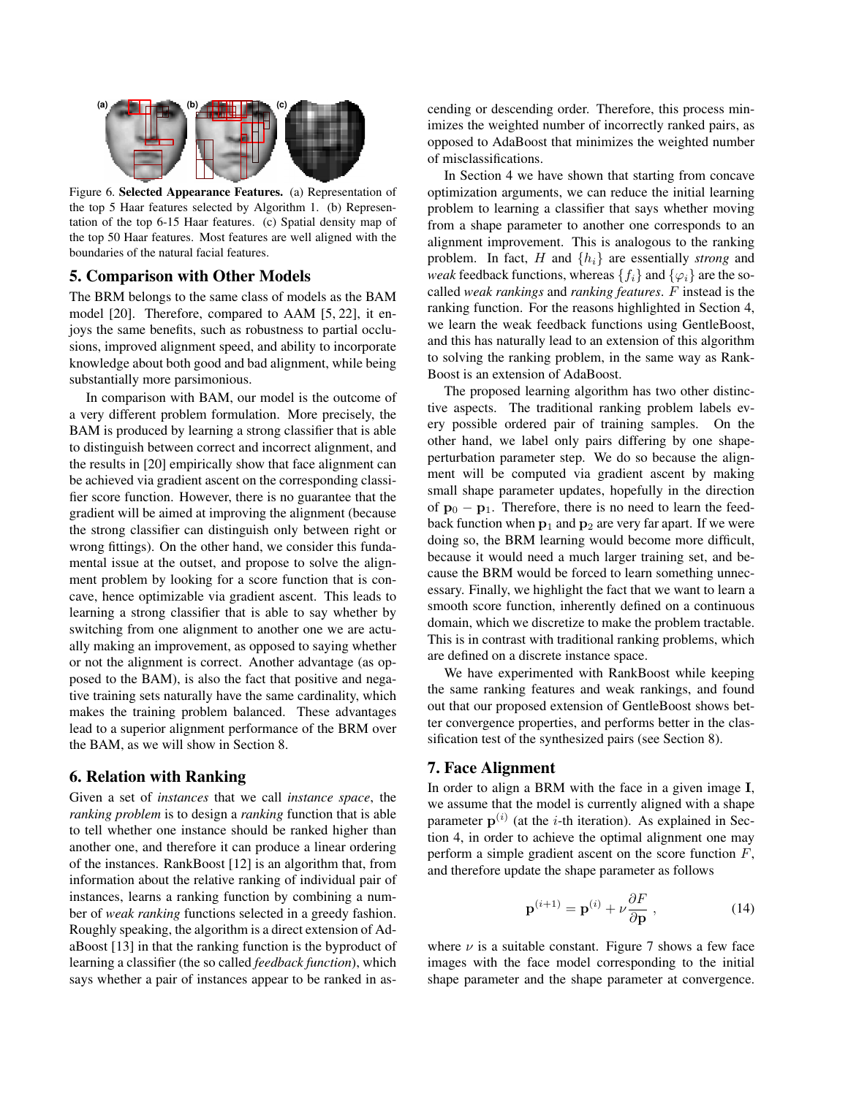

Figure 6. Selected Appearance Features. (a) Representation of the top 5 Haar features selected by Algorithm 1. (b) Representation of the top 6-15 Haar features. (c) Spatial density map of the top 50 Haar features. Most features are well aligned with the boundaries of the natural facial features.

# 5. Comparison with Other Models

The BRM belongs to the same class of models as the BAM model [20]. Therefore, compared to AAM [5, 22], it enjoys the same benefits, such as robustness to partial occlusions, improved alignment speed, and ability to incorporate knowledge about both good and bad alignment, while being substantially more parsimonious.

In comparison with BAM, our model is the outcome of a very different problem formulation. More precisely, the BAM is produced by learning a strong classifier that is able to distinguish between correct and incorrect alignment, and the results in [20] empirically show that face alignment can be achieved via gradient ascent on the corresponding classifier score function. However, there is no guarantee that the gradient will be aimed at improving the alignment (because the strong classifier can distinguish only between right or wrong fittings). On the other hand, we consider this fundamental issue at the outset, and propose to solve the alignment problem by looking for a score function that is concave, hence optimizable via gradient ascent. This leads to learning a strong classifier that is able to say whether by switching from one alignment to another one we are actually making an improvement, as opposed to saying whether or not the alignment is correct. Another advantage (as opposed to the BAM), is also the fact that positive and negative training sets naturally have the same cardinality, which makes the training problem balanced. These advantages lead to a superior alignment performance of the BRM over the BAM, as we will show in Section 8.

# 6. Relation with Ranking

Given a set of *instances* that we call *instance space*, the *ranking problem* is to design a *ranking* function that is able to tell whether one instance should be ranked higher than another one, and therefore it can produce a linear ordering of the instances. RankBoost [12] is an algorithm that, from information about the relative ranking of individual pair of instances, learns a ranking function by combining a number of *weak ranking* functions selected in a greedy fashion. Roughly speaking, the algorithm is a direct extension of AdaBoost [13] in that the ranking function is the byproduct of learning a classifier (the so called *feedback function*), which says whether a pair of instances appear to be ranked in ascending or descending order. Therefore, this process minimizes the weighted number of incorrectly ranked pairs, as opposed to AdaBoost that minimizes the weighted number of misclassifications.

In Section 4 we have shown that starting from concave optimization arguments, we can reduce the initial learning problem to learning a classifier that says whether moving from a shape parameter to another one corresponds to an alignment improvement. This is analogous to the ranking problem. In fact, H and  $\{h_i\}$  are essentially *strong* and *weak* feedback functions, whereas  $\{f_i\}$  and  $\{\varphi_i\}$  are the socalled *weak rankings* and *ranking features*. F instead is the ranking function. For the reasons highlighted in Section 4, we learn the weak feedback functions using GentleBoost, and this has naturally lead to an extension of this algorithm to solving the ranking problem, in the same way as Rank-Boost is an extension of AdaBoost.

The proposed learning algorithm has two other distinctive aspects. The traditional ranking problem labels every possible ordered pair of training samples. On the other hand, we label only pairs differing by one shapeperturbation parameter step. We do so because the alignment will be computed via gradient ascent by making small shape parameter updates, hopefully in the direction of  $p_0 - p_1$ . Therefore, there is no need to learn the feedback function when  $p_1$  and  $p_2$  are very far apart. If we were doing so, the BRM learning would become more difficult, because it would need a much larger training set, and because the BRM would be forced to learn something unnecessary. Finally, we highlight the fact that we want to learn a smooth score function, inherently defined on a continuous domain, which we discretize to make the problem tractable. This is in contrast with traditional ranking problems, which are defined on a discrete instance space.

We have experimented with RankBoost while keeping the same ranking features and weak rankings, and found out that our proposed extension of GentleBoost shows better convergence properties, and performs better in the classification test of the synthesized pairs (see Section 8).

# 7. Face Alignment

In order to align a BRM with the face in a given image I, we assume that the model is currently aligned with a shape parameter  $p^{(i)}$  (at the *i*-th iteration). As explained in Section 4, in order to achieve the optimal alignment one may perform a simple gradient ascent on the score function  $F$ , and therefore update the shape parameter as follows

$$
\mathbf{p}^{(i+1)} = \mathbf{p}^{(i)} + \nu \frac{\partial F}{\partial \mathbf{p}},
$$
 (14)

where  $\nu$  is a suitable constant. Figure 7 shows a few face images with the face model corresponding to the initial shape parameter and the shape parameter at convergence.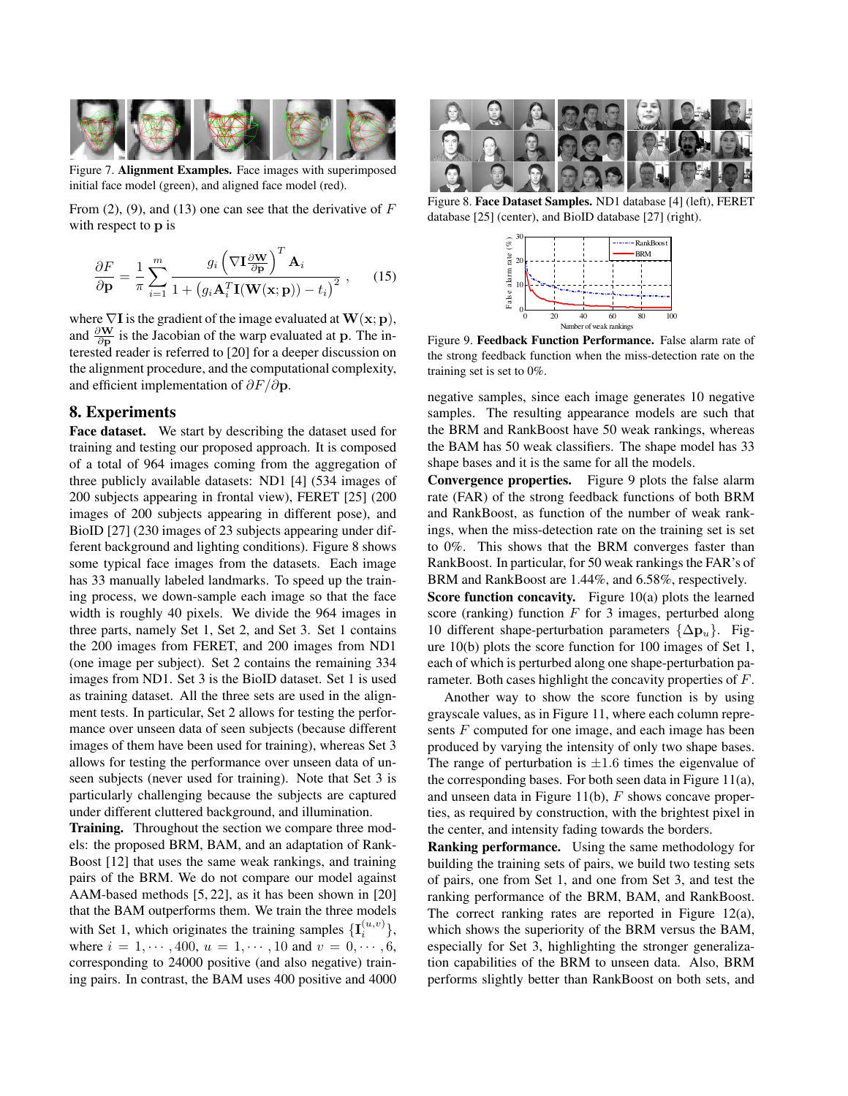

Figure 7. Alignment Examples. Face images with superimposed initial face model (green), and aligned face model (red).

From  $(2)$ ,  $(9)$ , and  $(13)$  one can see that the derivative of F with respect to **p** is

$$
\frac{\partial F}{\partial \mathbf{p}} = \frac{1}{\pi} \sum_{i=1}^{m} \frac{g_i \left( \nabla \mathbf{I} \frac{\partial \mathbf{W}}{\partial \mathbf{p}} \right)^T \mathbf{A}_i}{1 + \left( g_i \mathbf{A}_i^T \mathbf{I}(\mathbf{W}(\mathbf{x}; \mathbf{p})) - t_i \right)^2}, \quad (15)
$$

where  $\nabla I$  is the gradient of the image evaluated at  $W(\mathbf{x}; \mathbf{p})$ , and  $\frac{\partial \mathbf{W}}{\partial \mathbf{p}}$  is the Jacobian of the warp evaluated at p. The interested reader is referred to [20] for a deeper discussion on the alignment procedure, and the computational complexity, and efficient implementation of  $\partial F/\partial p$ .

# 8. Experiments

Face dataset. We start by describing the dataset used for training and testing our proposed approach. It is composed of a total of 964 images coming from the aggregation of three publicly available datasets: ND1 [4] (534 images of 200 subjects appearing in frontal view), FERET [25] (200 images of 200 subjects appearing in different pose), and BioID [27] (230 images of 23 subjects appearing under different background and lighting conditions). Figure 8 shows some typical face images from the datasets. Each image has 33 manually labeled landmarks. To speed up the training process, we down-sample each image so that the face width is roughly 40 pixels. We divide the 964 images in three parts, namely Set 1, Set 2, and Set 3. Set 1 contains the 200 images from FERET, and 200 images from ND1 (one image per subject). Set 2 contains the remaining 334 images from ND1. Set 3 is the BioID dataset. Set 1 is used as training dataset. All the three sets are used in the alignment tests. In particular, Set 2 allows for testing the performance over unseen data of seen subjects (because different images of them have been used for training), whereas Set 3 allows for testing the performance over unseen data of unseen subjects (never used for training). Note that Set 3 is particularly challenging because the subjects are captured under different cluttered background, and illumination.

Training. Throughout the section we compare three models: the proposed BRM, BAM, and an adaptation of Rank-Boost [12] that uses the same weak rankings, and training pairs of the BRM. We do not compare our model against AAM-based methods [5, 22], as it has been shown in [20] that the BAM outperforms them. We train the three models with Set 1, which originates the training samples  $\{\mathbf{I}_i^{(u,v)}\}$ , where  $i = 1, \dots, 400, u = 1, \dots, 10$  and  $v = 0, \dots, 6$ , corresponding to 24000 positive (and also negative) training pairs. In contrast, the BAM uses 400 positive and 4000



Figure 8. Face Dataset Samples. ND1 database [4] (left), FERET database [25] (center), and BioID database [27] (right).



Figure 9. Feedback Function Performance. False alarm rate of the strong feedback function when the miss-detection rate on the training set is set to 0%.

negative samples, since each image generates 10 negative samples. The resulting appearance models are such that the BRM and RankBoost have 50 weak rankings, whereas the BAM has 50 weak classifiers. The shape model has 33 shape bases and it is the same for all the models.

Convergence properties. Figure 9 plots the false alarm rate (FAR) of the strong feedback functions of both BRM and RankBoost, as function of the number of weak rankings, when the miss-detection rate on the training set is set to 0%. This shows that the BRM converges faster than RankBoost. In particular, for 50 weak rankings the FAR's of BRM and RankBoost are 1.44%, and 6.58%, respectively. Score function concavity. Figure  $10(a)$  plots the learned score (ranking) function  $F$  for 3 images, perturbed along 10 different shape-perturbation parameters  $\{\Delta \mathbf{p}_u\}$ . Figure 10(b) plots the score function for 100 images of Set 1, each of which is perturbed along one shape-perturbation parameter. Both cases highlight the concavity properties of F.

Another way to show the score function is by using grayscale values, as in Figure 11, where each column represents  $F$  computed for one image, and each image has been produced by varying the intensity of only two shape bases. The range of perturbation is  $\pm 1.6$  times the eigenvalue of the corresponding bases. For both seen data in Figure 11(a), and unseen data in Figure 11(b),  $F$  shows concave properties, as required by construction, with the brightest pixel in the center, and intensity fading towards the borders.

Ranking performance. Using the same methodology for building the training sets of pairs, we build two testing sets of pairs, one from Set 1, and one from Set 3, and test the ranking performance of the BRM, BAM, and RankBoost. The correct ranking rates are reported in Figure 12(a), which shows the superiority of the BRM versus the BAM, especially for Set 3, highlighting the stronger generalization capabilities of the BRM to unseen data. Also, BRM performs slightly better than RankBoost on both sets, and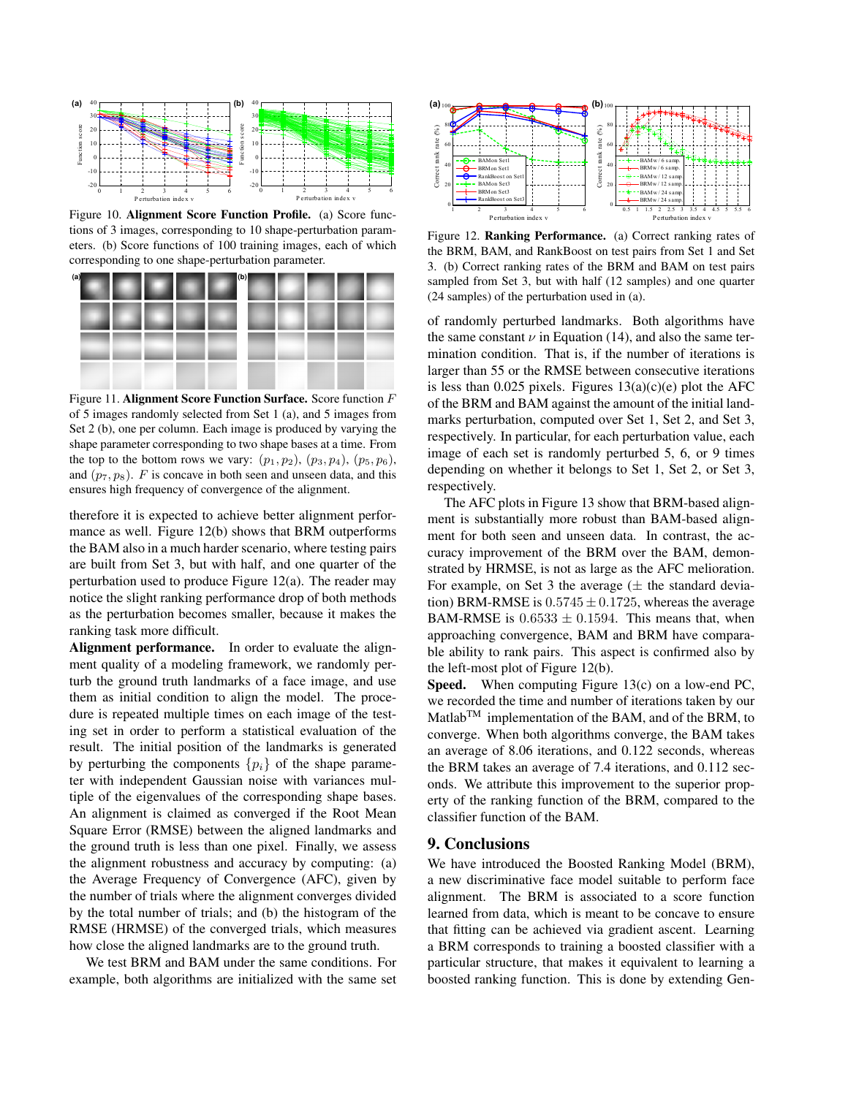

Figure 10. Alignment Score Function Profile. (a) Score functions of 3 images, corresponding to 10 shape-perturbation parameters. (b) Score functions of 100 training images, each of which corresponding to one shape-perturbation parameter.



Figure 11. Alignment Score Function Surface. Score function F of 5 images randomly selected from Set 1 (a), and 5 images from Set 2 (b), one per column. Each image is produced by varying the shape parameter corresponding to two shape bases at a time. From the top to the bottom rows we vary:  $(p_1, p_2)$ ,  $(p_3, p_4)$ ,  $(p_5, p_6)$ , and  $(p_7, p_8)$ . F is concave in both seen and unseen data, and this ensures high frequency of convergence of the alignment.

therefore it is expected to achieve better alignment performance as well. Figure 12(b) shows that BRM outperforms the BAM also in a much harder scenario, where testing pairs are built from Set 3, but with half, and one quarter of the perturbation used to produce Figure 12(a). The reader may notice the slight ranking performance drop of both methods as the perturbation becomes smaller, because it makes the ranking task more difficult.

Alignment performance. In order to evaluate the alignment quality of a modeling framework, we randomly perturb the ground truth landmarks of a face image, and use them as initial condition to align the model. The procedure is repeated multiple times on each image of the testing set in order to perform a statistical evaluation of the result. The initial position of the landmarks is generated by perturbing the components  $\{p_i\}$  of the shape parameter with independent Gaussian noise with variances multiple of the eigenvalues of the corresponding shape bases. An alignment is claimed as converged if the Root Mean Square Error (RMSE) between the aligned landmarks and the ground truth is less than one pixel. Finally, we assess the alignment robustness and accuracy by computing: (a) the Average Frequency of Convergence (AFC), given by the number of trials where the alignment converges divided by the total number of trials; and (b) the histogram of the RMSE (HRMSE) of the converged trials, which measures how close the aligned landmarks are to the ground truth.

We test BRM and BAM under the same conditions. For example, both algorithms are initialized with the same set



Figure 12. Ranking Performance. (a) Correct ranking rates of the BRM, BAM, and RankBoost on test pairs from Set 1 and Set 3. (b) Correct ranking rates of the BRM and BAM on test pairs sampled from Set 3, but with half (12 samples) and one quarter (24 samples) of the perturbation used in (a).

of randomly perturbed landmarks. Both algorithms have the same constant  $\nu$  in Equation (14), and also the same termination condition. That is, if the number of iterations is larger than 55 or the RMSE between consecutive iterations is less than 0.025 pixels. Figures  $13(a)(c)(e)$  plot the AFC of the BRM and BAM against the amount of the initial landmarks perturbation, computed over Set 1, Set 2, and Set 3, respectively. In particular, for each perturbation value, each image of each set is randomly perturbed 5, 6, or 9 times depending on whether it belongs to Set 1, Set 2, or Set 3, respectively.

The AFC plots in Figure 13 show that BRM-based alignment is substantially more robust than BAM-based alignment for both seen and unseen data. In contrast, the accuracy improvement of the BRM over the BAM, demonstrated by HRMSE, is not as large as the AFC melioration. For example, on Set 3 the average  $(\pm$  the standard deviation) BRM-RMSE is  $0.5745 \pm 0.1725$ , whereas the average BAM-RMSE is  $0.6533 \pm 0.1594$ . This means that, when approaching convergence, BAM and BRM have comparable ability to rank pairs. This aspect is confirmed also by the left-most plot of Figure 12(b).

Speed. When computing Figure 13(c) on a low-end PC, we recorded the time and number of iterations taken by our Matlab<sup>TM</sup> implementation of the BAM, and of the BRM, to converge. When both algorithms converge, the BAM takes an average of 8.06 iterations, and 0.122 seconds, whereas the BRM takes an average of 7.4 iterations, and 0.112 seconds. We attribute this improvement to the superior property of the ranking function of the BRM, compared to the classifier function of the BAM.

# 9. Conclusions

We have introduced the Boosted Ranking Model (BRM), a new discriminative face model suitable to perform face alignment. The BRM is associated to a score function learned from data, which is meant to be concave to ensure that fitting can be achieved via gradient ascent. Learning a BRM corresponds to training a boosted classifier with a particular structure, that makes it equivalent to learning a boosted ranking function. This is done by extending Gen-